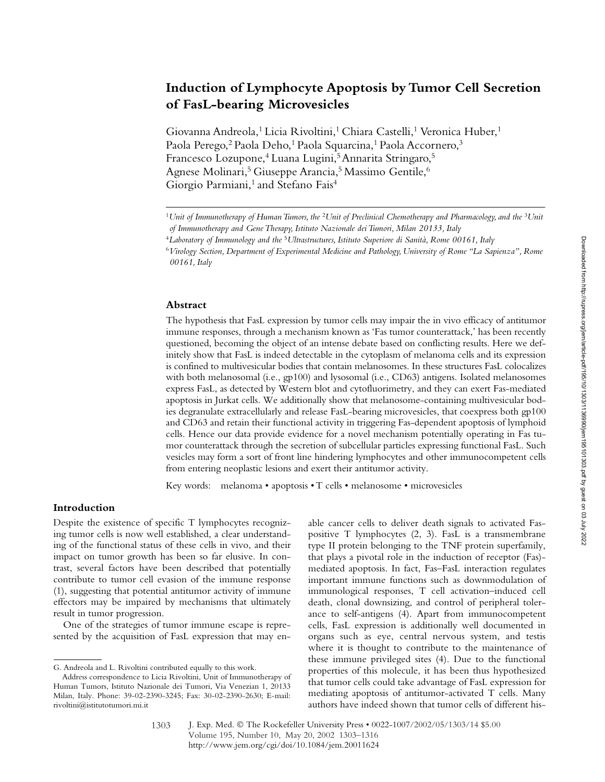# **Induction of Lymphocyte Apoptosis by Tumor Cell Secretion of FasL-bearing Microvesicles**

Giovanna Andreola,<sup>1</sup> Licia Rivoltini,<sup>1</sup> Chiara Castelli,<sup>1</sup> Veronica Huber,<sup>1</sup> Paola Perego,<sup>2</sup> Paola Deho,<sup>1</sup> Paola Squarcina,<sup>1</sup> Paola Accornero,<sup>3</sup> Francesco Lozupone,<sup>4</sup> Luana Lugini,<sup>5</sup> Annarita Stringaro,<sup>5</sup> Agnese Molinari,<sup>5</sup> Giuseppe Arancia,<sup>5</sup> Massimo Gentile,<sup>6</sup> Giorgio Parmiani,<sup>1</sup> and Stefano Fais<sup>4</sup>

#### **Abstract**

The hypothesis that FasL expression by tumor cells may impair the in vivo efficacy of antitumor immune responses, through a mechanism known as 'Fas tumor counterattack,' has been recently questioned, becoming the object of an intense debate based on conflicting results. Here we definitely show that FasL is indeed detectable in the cytoplasm of melanoma cells and its expression is confined to multivesicular bodies that contain melanosomes. In these structures FasL colocalizes with both melanosomal (i.e., gp100) and lysosomal (i.e., CD63) antigens. Isolated melanosomes express FasL, as detected by Western blot and cytofluorimetry, and they can exert Fas-mediated apoptosis in Jurkat cells. We additionally show that melanosome-containing multivesicular bodies degranulate extracellularly and release FasL-bearing microvesicles, that coexpress both gp100 and CD63 and retain their functional activity in triggering Fas-dependent apoptosis of lymphoid cells. Hence our data provide evidence for a novel mechanism potentially operating in Fas tumor counterattack through the secretion of subcellular particles expressing functional FasL. Such vesicles may form a sort of front line hindering lymphocytes and other immunocompetent cells from entering neoplastic lesions and exert their antitumor activity.

Key words: melanoma • apoptosis • T cells • melanosome • microvesicles

# **Introduction**

Despite the existence of specific T lymphocytes recognizing tumor cells is now well established, a clear understanding of the functional status of these cells in vivo, and their impact on tumor growth has been so far elusive. In contrast, several factors have been described that potentially contribute to tumor cell evasion of the immune response (1), suggesting that potential antitumor activity of immune effectors may be impaired by mechanisms that ultimately result in tumor progression.

One of the strategies of tumor immune escape is represented by the acquisition of FasL expression that may enable cancer cells to deliver death signals to activated Faspositive T lymphocytes (2, 3). FasL is a transmembrane type II protein belonging to the TNF protein superfamily, that plays a pivotal role in the induction of receptor (Fas) mediated apoptosis. In fact, Fas–FasL interaction regulates important immune functions such as downmodulation of immunological responses, T cell activation–induced cell death, clonal downsizing, and control of peripheral tolerance to self-antigens (4). Apart from immunocompetent cells, FasL expression is additionally well documented in organs such as eye, central nervous system, and testis where it is thought to contribute to the maintenance of these immune privileged sites (4). Due to the functional properties of this molecule, it has been thus hypothesized that tumor cells could take advantage of FasL expression for mediating apoptosis of antitumor-activated T cells. Many authors have indeed shown that tumor cells of different his-

1303

<sup>1</sup>*Unit of Immunotherapy of Human Tumors, the* <sup>2</sup>*Unit of Preclinical Chemotherapy and Pharmacology, and the* <sup>3</sup>*Unit of Immunotherapy and Gene Therapy, Istituto Nazionale dei Tumori, Milan 20133, Italy*

<sup>4</sup>*Laboratory of Immunology and the* <sup>5</sup>*Ultrastructures, Istituto Superiore di Sanità, Rome 00161, Italy*

<sup>6</sup>*Virology Section, Department of Experimental Medicine and Pathology, University of Rome "La Sapienza", Rome 00161, Italy*

G. Andreola and L. Rivoltini contributed equally to this work.

Address correspondence to Licia Rivoltini, Unit of Immunotherapy of Human Tumors, Istituto Nazionale dei Tumori, Via Venezian 1, 20133 Milan, Italy. Phone: 39-02-2390-3245; Fax: 30-02-2390-2630; E-mail: rivoltini@istitutotumori.mi.it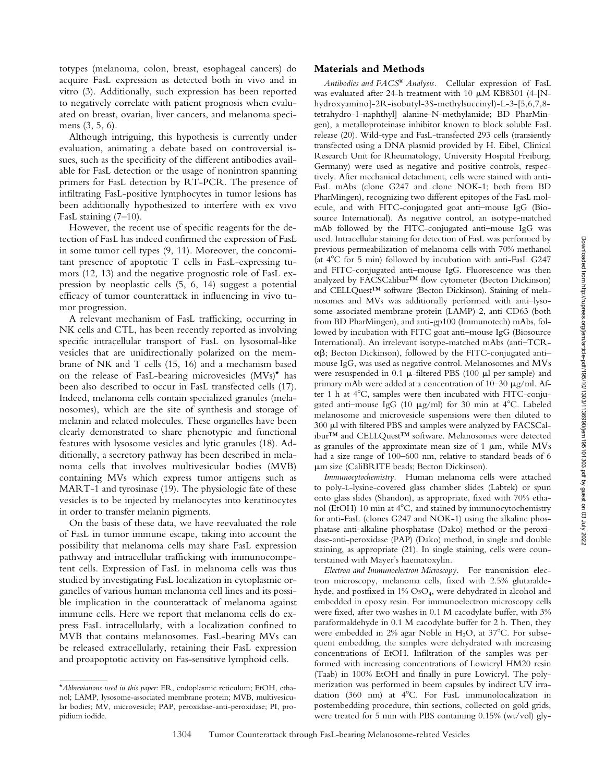totypes (melanoma, colon, breast, esophageal cancers) do acquire FasL expression as detected both in vivo and in vitro (3). Additionally, such expression has been reported to negatively correlate with patient prognosis when evaluated on breast, ovarian, liver cancers, and melanoma specimens (3, 5, 6).

Although intriguing, this hypothesis is currently under evaluation, animating a debate based on controversial issues, such as the specificity of the different antibodies available for FasL detection or the usage of nonintron spanning primers for FasL detection by RT-PCR. The presence of infiltrating FasL-positive lymphocytes in tumor lesions has been additionally hypothesized to interfere with ex vivo FasL staining (7–10).

However, the recent use of specific reagents for the detection of FasL has indeed confirmed the expression of FasL in some tumor cell types (9, 11). Moreover, the concomitant presence of apoptotic T cells in FasL-expressing tumors (12, 13) and the negative prognostic role of FasL expression by neoplastic cells (5, 6, 14) suggest a potential efficacy of tumor counterattack in influencing in vivo tumor progression.

A relevant mechanism of FasL trafficking, occurring in NK cells and CTL, has been recently reported as involving specific intracellular transport of FasL on lysosomal-like vesicles that are unidirectionally polarized on the membrane of NK and T cells (15, 16) and a mechanism based on the release of FasL-bearing microvesicles (MVs)\* has been also described to occur in FasL transfected cells (17). Indeed, melanoma cells contain specialized granules (melanosomes), which are the site of synthesis and storage of melanin and related molecules. These organelles have been clearly demonstrated to share phenotypic and functional features with lysosome vesicles and lytic granules (18). Additionally, a secretory pathway has been described in melanoma cells that involves multivesicular bodies (MVB) containing MVs which express tumor antigens such as MART-1 and tyrosinase (19). The physiologic fate of these vesicles is to be injected by melanocytes into keratinocytes in order to transfer melanin pigments.

On the basis of these data, we have reevaluated the role of FasL in tumor immune escape, taking into account the possibility that melanoma cells may share FasL expression pathway and intracellular trafficking with immunocompetent cells. Expression of FasL in melanoma cells was thus studied by investigating FasL localization in cytoplasmic organelles of various human melanoma cell lines and its possible implication in the counterattack of melanoma against immune cells. Here we report that melanoma cells do express FasL intracellularly, with a localization confined to MVB that contains melanosomes. FasL-bearing MVs can be released extracellularly, retaining their FasL expression and proapoptotic activity on Fas-sensitive lymphoid cells.

#### **Materials and Methods**

*Antibodies and FACS® Analysis.* Cellular expression of FasL was evaluated after 24-h treatment with 10  $\mu$ M KB8301 (4-[Nhydroxyamino]-2R-isobutyl-3S-methylsuccinyl)-L-3-[5,6,7,8 tetrahydro-1-naphthyl] alanine-N-methylamide; BD PharMingen), a metalloproteinase inhibitor known to block soluble FasL release (20). Wild-type and FasL-transfected 293 cells (transiently transfected using a DNA plasmid provided by H. Eibel, Clinical Research Unit for Rheumatology, University Hospital Freiburg, Germany) were used as negative and positive controls, respectively. After mechanical detachment, cells were stained with anti-FasL mAbs (clone G247 and clone NOK-1; both from BD PharMingen), recognizing two different epitopes of the FasL molecule, and with FITC-conjugated goat anti–mouse IgG (Biosource International). As negative control, an isotype-matched mAb followed by the FITC-conjugated anti–mouse IgG was used. Intracellular staining for detection of FasL was performed by previous permeabilization of melanoma cells with 70% methanol (at  $4^{\circ}$ C for 5 min) followed by incubation with anti-FasL G247 and FITC-conjugated anti–mouse IgG. Fluorescence was then analyzed by FACSCalibur™ flow cytometer (Becton Dickinson) and CELLQuest™ software (Becton Dickinson). Staining of melanosomes and MVs was additionally performed with anti–lysosome-associated membrane protein (LAMP)-2, anti-CD63 (both from BD PharMingen), and anti-gp100 (Immunotech) mAbs, followed by incubation with FITC goat anti–mouse IgG (Biosource International). An irrelevant isotype-matched mAbs (anti–TCR-  $\alpha\beta$ ; Becton Dickinson), followed by the FITC-conjugated antimouse IgG, was used as negative control. Melanosomes and MVs were resuspended in  $0.1 \mu$ -filtered PBS (100  $\mu$ l per sample) and primary mAb were added at a concentration of  $10-30 \text{ }\mu\text{g/ml}$ . After 1 h at 4°C, samples were then incubated with FITC-conjugated anti–mouse IgG (10  $\mu$ g/ml) for 30 min at 4°C. Labeled melanosome and microvesicle suspensions were then diluted to 300 µl with filtered PBS and samples were analyzed by FACSCalibur™ and CELLQuest™ software. Melanosomes were detected as granules of the approximate mean size of 1  $\mu$ m, while MVs had a size range of 100–600 nm, relative to standard beads of 6 -m size (CaliBRITE beads; Becton Dickinson).

*Immunocytochemistry.* Human melanoma cells were attached to poly-L-lysine-covered glass chamber slides (Labtek) or spun onto glass slides (Shandon), as appropriate, fixed with 70% ethanol (EtOH)  $10 \text{ min}$  at  $4^{\circ}$ C, and stained by immunocytochemistry for anti-FasL (clones G247 and NOK-1) using the alkaline phosphatase anti-alkaline phosphatase (Dako) method or the peroxidase-anti-peroxidase (PAP) (Dako) method, in single and double staining, as appropriate (21). In single staining, cells were counterstained with Mayer's haematoxylin.

*Electron and Immunoelectron Microscopy.* For transmission electron microscopy, melanoma cells, fixed with 2.5% glutaraldehyde, and postfixed in 1% OsO<sub>4</sub>, were dehydrated in alcohol and embedded in epoxy resin. For immunoelectron microscopy cells were fixed, after two washes in 0.1 M cacodylate buffer, with 3% paraformaldehyde in 0.1 M cacodylate buffer for 2 h. Then, they were embedded in 2% agar Noble in  $H_2O$ , at 37°C. For subsequent embedding, the samples were dehydrated with increasing concentrations of EtOH. Infiltration of the samples was performed with increasing concentrations of Lowicryl HM20 resin (Taab) in 100% EtOH and finally in pure Lowicryl. The polymerization was performed in beem capsules by indirect UV irradiation (360 nm) at  $4^{\circ}$ C. For FasL immunolocalization in postembedding procedure, thin sections, collected on gold grids, were treated for 5 min with PBS containing 0.15% (wt/vol) gly-

<sup>\*</sup>*Abbreviations used in this paper:* ER, endoplasmic reticulum; EtOH, ethanol; LAMP, lysosome-associated membrane protein; MVB, multivesicular bodies; MV, microvesicle; PAP, peroxidase-anti-peroxidase; PI, propidium iodide.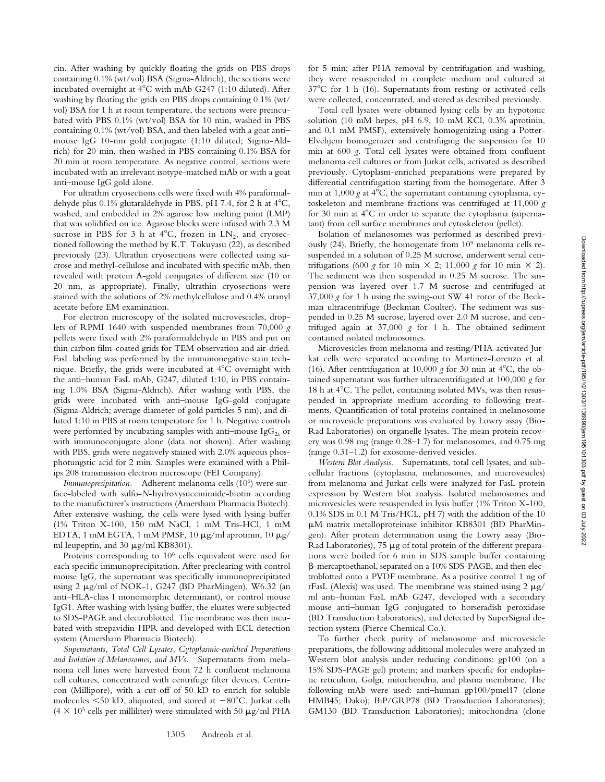cin. After washing by quickly floating the grids on PBS drops containing 0.1% (wt/vol) BSA (Sigma-Aldrich), the sections were incubated overnight at  $4^{\circ}$ C with mAb G247 (1:10 diluted). After washing by floating the grids on PBS drops containing 0.1% (wt/ vol) BSA for 1 h at room temperature, the sections were preincubated with PBS 0.1% (wt/vol) BSA for 10 min, washed in PBS containing 0.1% (wt/vol) BSA, and then labeled with a goat anti– mouse IgG 10-nm gold conjugate (1:10 diluted; Sigma-Aldrich) for 20 min, then washed in PBS containing 0.1% BSA for 20 min at room temperature. As negative control, sections were incubated with an irrelevant isotype-matched mAb or with a goat anti–mouse IgG gold alone.

For ultrathin cryosections cells were fixed with 4% paraformaldehyde plus  $0.1\%$  glutaraldehyde in PBS, pH 7.4, for 2 h at  $4^{\circ}$ C, washed, and embedded in 2% agarose low melting point (LMP) that was solidified on ice. Agarose blocks were infused with 2.3 M sucrose in PBS for 3 h at  $4^{\circ}$ C, frozen in LN<sub>2</sub>, and cryosectioned following the method by K.T. Tokuyasu (22), as described previously (23). Ultrathin cryosections were collected using sucrose and methyl-cellulose and incubated with specific mAb, then revealed with protein A-gold conjugates of different size (10 or 20 nm, as appropriate). Finally, ultrathin cryosections were stained with the solutions of 2% methylcellulose and 0.4% uranyl acetate before EM examination.

For electron microscopy of the isolated microvescicles, droplets of RPMI 1640 with suspended membranes from 70,000 *g* pellets were fixed with 2% paraformaldehyde in PBS and put on thin carbon film-coated grids for TEM observation and air-dried. FasL labeling was performed by the immunonegative stain technique. Briefly, the grids were incubated at 4C overnight with the anti–human FasL mAb, G247, diluted 1:10, in PBS containing 1.0% BSA (Sigma-Aldrich). After washing with PBS, the grids were incubated with anti–mouse IgG-gold conjugate (Sigma-Aldrich; average diameter of gold particles 5 nm), and diluted 1:10 in PBS at room temperature for 1 h. Negative controls were performed by incubating samples with anti-mouse  $\text{IgG}_{2a}$  or with immunoconjugate alone (data not shown). After washing with PBS, grids were negatively stained with 2.0% aqueous phosphotungstic acid for 2 min. Samples were examined with a Philips 208 transmission electron microscope (FEI Company).

*Immunoprecipitation*. Adherent melanoma cells (10<sup>6</sup>) were surface-labeled with sulfo-*N*-hydroxysuccinimide-biotin according to the manufacturer's instructions (Amersham Pharmacia Biotech). After extensive washing, the cells were lysed with lysing buffer (1% Triton X-100, 150 mM NaCl, 1 mM Tris-HCl, 1 mM EDTA, 1 mM EGTA, 1 mM PMSF, 10  $\mu$ g/ml aprotinin, 10  $\mu$ g/ ml leupeptin, and 30 µg/ml KB8301).

Proteins corresponding to 10<sup>6</sup> cells equivalent were used for each specific immunoprecipitation. After preclearing with control mouse IgG, the supernatant was specifically immunoprecipitated using 2 µg/ml of NOK-1, G247 (BD PharMingen), W6.32 (an anti–HLA-class I monomorphic determinant), or control mouse IgG1. After washing with lysing buffer, the eluates were subjected to SDS-PAGE and electroblotted. The membrane was then incubated with strepavidin-HPR and developed with ECL detection system (Amersham Pharmacia Biotech).

*Supernatants, Total Cell Lysates, Cytoplasmic-enriched Preparations and Isolation of Melanosomes, and MVs.* Supernatants from melanoma cell lines were harvested from 72 h confluent melanoma cell cultures, concentrated with centrifuge filter devices, Centricon (Millipore), with a cut off of 50 kD to enrich for soluble molecules  $\leq 50$  kD, aliquoted, and stored at  $-80^{\circ}$ C. Jurkat cells  $(4 \times 10^5 \text{ cells per milliliter})$  were stimulated with 50  $\mu$ g/ml PHA

for 5 min; after PHA removal by centrifugation and washing, they were resuspended in complete medium and cultured at  $37^{\circ}$ C for 1 h (16). Supernatants from resting or activated cells were collected, concentrated, and stored as described previously.

Total cell lysates were obtained lysing cells by an hypotonic solution (10 mM hepes, pH 6.9, 10 mM KCl, 0.3% aprotinin, and 0.1 mM PMSF), extensively homogenizing using a Potter-Elvehjem homogenizer and centrifuging the suspension for 10 min at 600 *g*. Total cell lysates were obtained from confluent melanoma cell cultures or from Jurkat cells, activated as described previously. Cytoplasm-enriched preparations were prepared by differential centrifugation starting from the homogenate. After 3 min at 1,000  $g$  at 4 $\rm{°C}$ , the supernatant containing cytoplasma, cytoskeleton and membrane fractions was centrifuged at 11,000 *g* for 30 min at  $4^{\circ}$ C in order to separate the cytoplasma (supernatant) from cell surface membranes and cytoskeleton (pellet).

Isolation of melanosomes was performed as described previously (24). Briefly, the homogenate from 109 melanoma cells resuspended in a solution of 0.25 M sucrose, underwent serial centrifugations (600 *g* for 10 min  $\times$  2; 11,000 *g* for 10 min  $\times$  2). The sediment was then suspended in 0.25 M sucrose. The suspension was layered over 1.7 M sucrose and centrifuged at 37,000 *g* for 1 h using the swing-out SW 41 rotor of the Beckman ultracentrifuge (Beckman Coulter). The sediment was suspended in 0.25 M sucrose, layered over 2.0 M sucrose, and centrifuged again at 37,000 *g* for 1 h. The obtained sediment contained isolated melanosomes.

Microvesicles from melanoma and resting/PHA-activated Jurkat cells were separated according to Martinez-Lorenzo et al. (16). After centrifugation at 10,000  $g$  for 30 min at 4°C, the obtained supernatant was further ultracentrifugated at 100,000 *g* for 18 h at 4C. The pellet, containing isolated MVs, was then resuspended in appropriate medium according to following treatments. Quantification of total proteins contained in melanosome or microvesicle preparations was evaluated by Lowry assay (Bio-Rad Laboratories) on organelle lysates. The mean protein recovery was 0.98 mg (range 0.28–1.7) for melanosomes, and 0.75 mg (range 0.31–1.2) for exosome-derived vesicles.

*Western Blot Analysis.* Supernatants, total cell lysates, and subcellular fractions (cytoplasma, melanosomes, and microvesicles) from melanoma and Jurkat cells were analyzed for FasL protein expression by Western blot analysis. Isolated melanosomes and microvesicles were resuspended in lysis buffer (1% Triton X-100, 0.1% SDS in 0.1 M Tris/HCL, pH 7) with the addition of the 10 -M matrix metalloproteinase inhibitor KB8301 (BD PharMingen). After protein determination using the Lowry assay (Bio-Rad Laboratories), 75 µg of total protein of the different preparations were boiled for 6 min in SDS sample buffer containing -mercaptoethanol, separated on a 10% SDS-PAGE, and then electroblotted onto a PVDF membrane. As a positive control 1 ng of rFasL (Alexis) was used. The membrane was stained using  $2 \mu g$ / ml anti–human FasL mAb G247, developed with a secondary mouse anti–human IgG conjugated to horseradish peroxidase (BD Transduction Laboratories), and detected by SuperSignal detection system (Pierce Chemical Co.).

To further check purity of melanosome and microvesicle preparations, the following additional molecules were analyzed in Western blot analysis under reducing conditions: gp100 (on a 15% SDS-PAGE gel) protein; and markers specific for endoplastic reticulum, Golgi, mitochondria, and plasma membrane. The following mAb were used: anti–human gp100/pmel17 (clone HMB45; Dako); BiP/GRP78 (BD Transduction Laboratories); GM130 (BD Transduction Laboratories); mitochondria (clone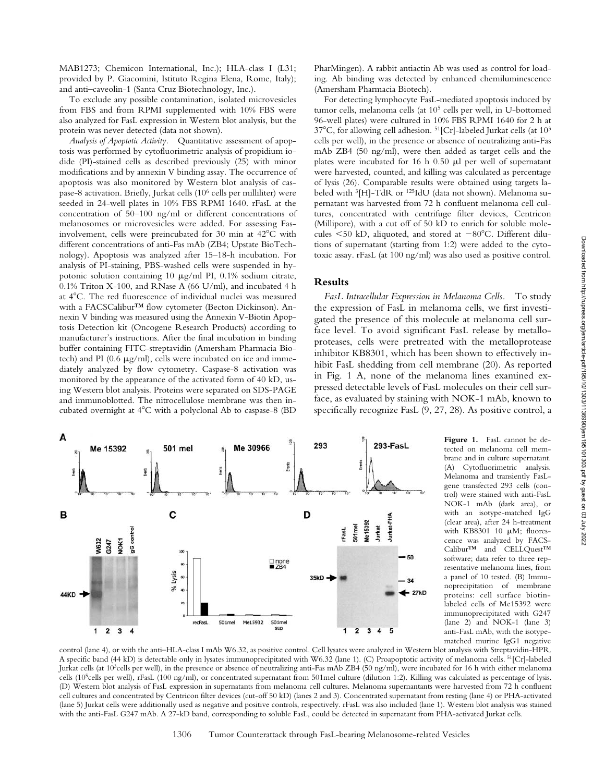MAB1273; Chemicon International, Inc.); HLA-class I (L31; provided by P. Giacomini, Istituto Regina Elena, Rome, Italy); and anti–caveolin-1 (Santa Cruz Biotechnology, Inc.).

To exclude any possible contamination, isolated microvesicles from FBS and from RPMI supplemented with 10% FBS were also analyzed for FasL expression in Western blot analysis, but the protein was never detected (data not shown).

*Analysis of Apoptotic Activity.* Quantitative assessment of apoptosis was performed by cytofluorimetric analysis of propidium iodide (PI)-stained cells as described previously (25) with minor modifications and by annexin V binding assay. The occurrence of apoptosis was also monitored by Western blot analysis of caspase-8 activation. Briefly, Jurkat cells (106 cells per milliliter) were seeded in 24-well plates in 10% FBS RPMI 1640. rFasL at the concentration of 50–100 ng/ml or different concentrations of melanosomes or microvesicles were added. For assessing Fasinvolvement, cells were preincubated for 30 min at 42°C with different concentrations of anti-Fas mAb (ZB4; Upstate BioTechnology). Apoptosis was analyzed after 15–18-h incubation. For analysis of PI-staining, PBS-washed cells were suspended in hypotonic solution containing 10  $\mu$ g/ml PI, 0.1% sodium citrate, 0.1% Triton X-100, and RNase A (66 U/ml), and incubated 4 h at 4C. The red fluorescence of individual nuclei was measured with a FACSCalibur™ flow cytometer (Becton Dickinson). Annexin V binding was measured using the Annexin V-Biotin Apoptosis Detection kit (Oncogene Research Products) according to manufacturer's instructions. After the final incubation in binding buffer containing FITC-streptavidin (Amersham Pharmacia Biotech) and PI ( $0.6 \ \mu g/ml$ ), cells were incubated on ice and immediately analyzed by flow cytometry. Caspase-8 activation was monitored by the appearance of the activated form of 40 kD, using Western blot analysis. Proteins were separated on SDS-PAGE and immunoblotted. The nitrocellulose membrane was then incubated overnight at  $4^{\circ}$ C with a polyclonal Ab to caspase-8 (BD

PharMingen). A rabbit antiactin Ab was used as control for loading. Ab binding was detected by enhanced chemiluminescence (Amersham Pharmacia Biotech).

For detecting lymphocyte FasL-mediated apoptosis induced by tumor cells, melanoma cells (at 105 cells per well, in U-bottomed 96-well plates) were cultured in 10% FBS RPMI 1640 for 2 h at  $37^{\circ}$ C, for allowing cell adhesion.  $51$ [Cr]-labeled Jurkat cells (at  $10^3$ cells per well), in the presence or absence of neutralizing anti-Fas mAb ZB4 (50 ng/ml), were then added as target cells and the plates were incubated for  $16$  h  $0.50$   $\mu$ l per well of supernatant were harvested, counted, and killing was calculated as percentage of lysis (26). Comparable results were obtained using targets labeled with 3[H]-TdR or 125IdU (data not shown). Melanoma supernatant was harvested from 72 h confluent melanoma cell cultures, concentrated with centrifuge filter devices, Centricon (Millipore), with a cut off of 50 kD to enrich for soluble molecules  $\leq$ 50 kD, aliquoted, and stored at  $-80^{\circ}$ C. Different dilutions of supernatant (starting from 1:2) were added to the cytotoxic assay. rFasL (at 100 ng/ml) was also used as positive control.

# **Results**

*FasL Intracellular Expression in Melanoma Cells.* To study the expression of FasL in melanoma cells, we first investigated the presence of this molecule at melanoma cell surface level. To avoid significant FasL release by metalloproteases, cells were pretreated with the metalloprotease inhibitor KB8301, which has been shown to effectively inhibit FasL shedding from cell membrane (20). As reported in Fig. 1 A, none of the melanoma lines examined expressed detectable levels of FasL molecules on their cell surface, as evaluated by staining with NOK-1 mAb, known to specifically recognize FasL (9, 27, 28). As positive control, a



**Figure 1.** FasL cannot be detected on melanoma cell membrane and in culture supernatant. (A) Cytofluorimetric analysis. Melanoma and transiently FasLgene transfected 293 cells (control) were stained with anti-FasL NOK-1 mAb (dark area), or with an isotype-matched IgG (clear area), after 24 h-treatment with KB8301 10  $\mu$ M; fluorescence was analyzed by FACS-Calibur™ and CELLQuest™ software; data refer to three representative melanoma lines, from a panel of 10 tested. (B) Immunoprecipitation of membrane proteins: cell surface biotinlabeled cells of Me15392 were immunoprecipitated with G247 (lane 2) and NOK-1 (lane 3) anti-FasL mAb, with the isotypematched murine IgG1 negative

control (lane 4), or with the anti–HLA-class I mAb W6.32, as positive control. Cell lysates were analyzed in Western blot analysis with Streptavidin-HPR. A specific band (44 kD) is detectable only in lysates immunoprecipitated with W6.32 (lane 1). (C) Proapoptotic activity of melanoma cells. 51[Cr]-labeled Jurkat cells (at 103cells per well), in the presence or absence of neutralizing anti-Fas mAb ZB4 (50 ng/ml), were incubated for 16 h with either melanoma cells (105cells per well), rFasL (100 ng/ml), or concentrated supernatant from 501mel culture (dilution 1:2). Killing was calculated as percentage of lysis. (D) Western blot analysis of FasL expression in supernatants from melanoma cell cultures. Melanoma supernantants were harvested from 72 h confluent cell cultures and concentrated by Centricon filter devices (cut-off 50 kD) (lanes 2 and 3). Concentrated supernatant from resting (lane 4) or PHA-activated (lane 5) Jurkat cells were additionally used as negative and positive controls, respectively. rFasL was also included (lane 1). Western blot analysis was stained with the anti-FasL G247 mAb. A 27-kD band, corresponding to soluble FasL, could be detected in supernatant from PHA-activated Jurkat cells.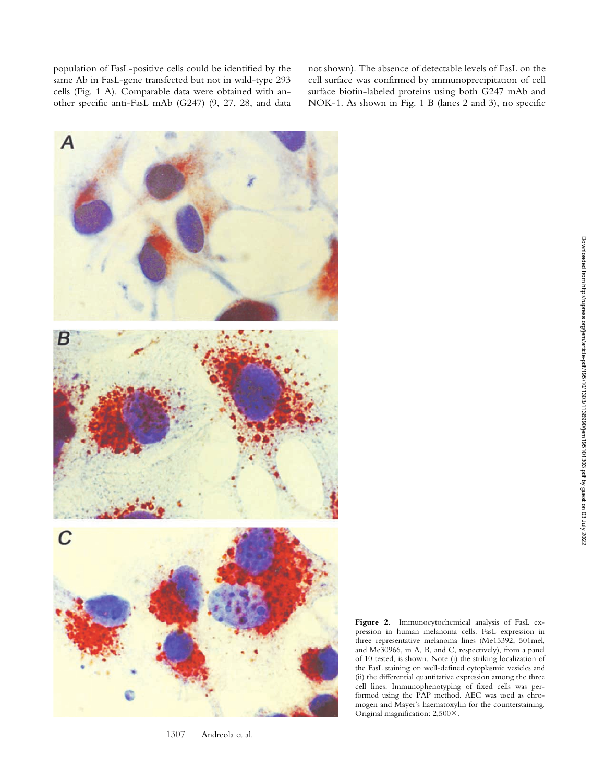population of FasL-positive cells could be identified by the same Ab in FasL-gene transfected but not in wild-type 293 cells (Fig. 1 A). Comparable data were obtained with another specific anti-FasL mAb (G247) (9, 27, 28, and data not shown). The absence of detectable levels of FasL on the cell surface was confirmed by immunoprecipitation of cell surface biotin-labeled proteins using both G247 mAb and NOK-1. As shown in Fig. 1 B (lanes 2 and 3), no specific



<sup>1307</sup> Andreola et al.

**Figure 2.** Immunocytochemical analysis of FasL expression in human melanoma cells. FasL expression in three representative melanoma lines (Me15392, 501mel, and Me30966, in A, B, and C, respectively), from a panel of 10 tested, is shown. Note (i) the striking localization of the FasL staining on well-defined cytoplasmic vesicles and (ii) the differential quantitative expression among the three cell lines. Immunophenotyping of fixed cells was performed using the PAP method. AEC was used as chromogen and Mayer's haematoxylin for the counterstaining. Original magnification: 2,500X.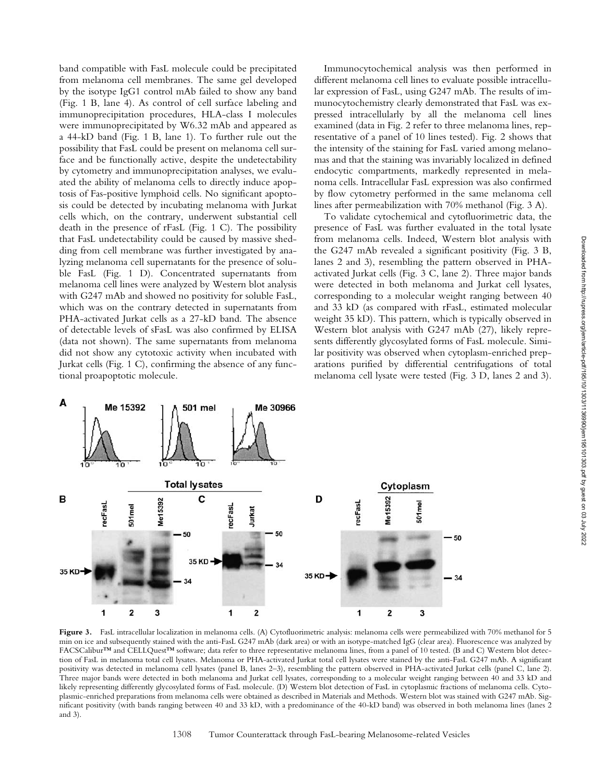band compatible with FasL molecule could be precipitated from melanoma cell membranes. The same gel developed by the isotype IgG1 control mAb failed to show any band (Fig. 1 B, lane 4). As control of cell surface labeling and immunoprecipitation procedures, HLA-class I molecules were immunoprecipitated by W6.32 mAb and appeared as a 44-kD band (Fig. 1 B, lane 1). To further rule out the possibility that FasL could be present on melanoma cell surface and be functionally active, despite the undetectability by cytometry and immunoprecipitation analyses, we evaluated the ability of melanoma cells to directly induce apoptosis of Fas-positive lymphoid cells. No significant apoptosis could be detected by incubating melanoma with Jurkat cells which, on the contrary, underwent substantial cell death in the presence of rFasL (Fig. 1 C). The possibility that FasL undetectability could be caused by massive shedding from cell membrane was further investigated by analyzing melanoma cell supernatants for the presence of soluble FasL (Fig. 1 D). Concentrated supernatants from melanoma cell lines were analyzed by Western blot analysis with G247 mAb and showed no positivity for soluble FasL, which was on the contrary detected in supernatants from PHA-activated Jurkat cells as a 27-kD band. The absence of detectable levels of sFasL was also confirmed by ELISA (data not shown). The same supernatants from melanoma did not show any cytotoxic activity when incubated with Jurkat cells (Fig. 1 C), confirming the absence of any functional proapoptotic molecule.

Immunocytochemical analysis was then performed in different melanoma cell lines to evaluate possible intracellular expression of FasL, using G247 mAb. The results of immunocytochemistry clearly demonstrated that FasL was expressed intracellularly by all the melanoma cell lines examined (data in Fig. 2 refer to three melanoma lines, representative of a panel of 10 lines tested). Fig. 2 shows that the intensity of the staining for FasL varied among melanomas and that the staining was invariably localized in defined endocytic compartments, markedly represented in melanoma cells. Intracellular FasL expression was also confirmed by flow cytometry performed in the same melanoma cell lines after permeabilization with 70% methanol (Fig. 3 A).

To validate cytochemical and cytofluorimetric data, the presence of FasL was further evaluated in the total lysate from melanoma cells. Indeed, Western blot analysis with the G247 mAb revealed a significant positivity (Fig. 3 B, lanes 2 and 3), resembling the pattern observed in PHAactivated Jurkat cells (Fig. 3 C, lane 2). Three major bands were detected in both melanoma and Jurkat cell lysates, corresponding to a molecular weight ranging between 40 and 33 kD (as compared with rFasL, estimated molecular weight 35 kD). This pattern, which is typically observed in Western blot analysis with G247 mAb (27), likely represents differently glycosylated forms of FasL molecule. Similar positivity was observed when cytoplasm-enriched preparations purified by differential centrifugations of total melanoma cell lysate were tested (Fig. 3 D, lanes 2 and 3).



Figure 3. FasL intracellular localization in melanoma cells. (A) Cytofluorimetric analysis: melanoma cells were permeabilized with 70% methanol for 5 min on ice and subsequently stained with the anti-FasL G247 mAb (dark area) or with an isotype-matched IgG (clear area). Fluorescence was analyzed by FACSCalibur™ and CELLQuest™ software; data refer to three representative melanoma lines, from a panel of 10 tested. (B and C) Western blot detection of FasL in melanoma total cell lysates. Melanoma or PHA-activated Jurkat total cell lysates were stained by the anti-FasL G247 mAb. A significant positivity was detected in melanoma cell lysates (panel B, lanes 2–3), resembling the pattern observed in PHA-activated Jurkat cells (panel C, lane 2). Three major bands were detected in both melanoma and Jurkat cell lysates, corresponding to a molecular weight ranging between 40 and 33 kD and likely representing differently glycosylated forms of FasL molecule. (D) Western blot detection of FasL in cytoplasmic fractions of melanoma cells. Cytoplasmic-enriched preparations from melanoma cells were obtained as described in Materials and Methods. Western blot was stained with G247 mAb. Significant positivity (with bands ranging between 40 and 33 kD, with a predominance of the 40-kD band) was observed in both melanoma lines (lanes 2 and 3).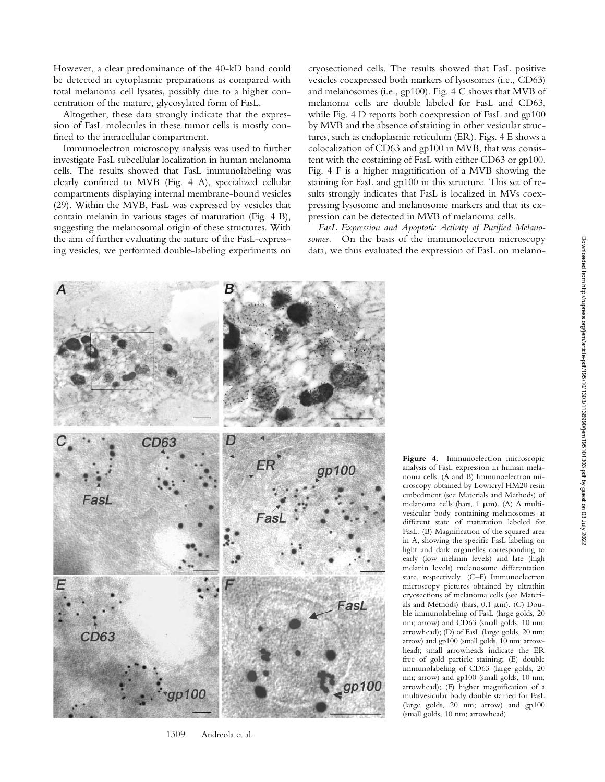However, a clear predominance of the 40-kD band could be detected in cytoplasmic preparations as compared with total melanoma cell lysates, possibly due to a higher concentration of the mature, glycosylated form of FasL.

Altogether, these data strongly indicate that the expression of FasL molecules in these tumor cells is mostly confined to the intracellular compartment.

Immunoelectron microscopy analysis was used to further investigate FasL subcellular localization in human melanoma cells. The results showed that FasL immunolabeling was clearly confined to MVB (Fig. 4 A), specialized cellular compartments displaying internal membrane-bound vesicles (29). Within the MVB, FasL was expressed by vesicles that contain melanin in various stages of maturation (Fig. 4 B), suggesting the melanosomal origin of these structures. With the aim of further evaluating the nature of the FasL-expressing vesicles, we performed double-labeling experiments on

cryosectioned cells. The results showed that FasL positive vesicles coexpressed both markers of lysosomes (i.e., CD63) and melanosomes (i.e., gp100). Fig. 4 C shows that MVB of melanoma cells are double labeled for FasL and CD63, while Fig. 4 D reports both coexpression of FasL and gp100 by MVB and the absence of staining in other vesicular structures, such as endoplasmic reticulum (ER). Figs. 4 E shows a colocalization of CD63 and gp100 in MVB, that was consistent with the costaining of FasL with either CD63 or gp100. Fig. 4 F is a higher magnification of a MVB showing the staining for FasL and gp100 in this structure. This set of results strongly indicates that FasL is localized in MVs coexpressing lysosome and melanosome markers and that its expression can be detected in MVB of melanoma cells.

*FasL Expression and Apoptotic Activity of Purified Melanosomes.* On the basis of the immunoelectron microscopy data, we thus evaluated the expression of FasL on melano-



1309 Andreola et al.

**Figure 4.** Immunoelectron microscopic analysis of FasL expression in human melanoma cells. (A and B) Immunoelectron microscopy obtained by Lowicryl HM20 resin embedment (see Materials and Methods) of melanoma cells (bars, 1  $\mu$ m). (A) A multivesicular body containing melanosomes at different state of maturation labeled for FasL. (B) Magnification of the squared area in A, showing the specific FasL labeling on light and dark organelles corresponding to early (low melanin levels) and late (high melanin levels) melanosome differentation state, respectively. (C–F) Immunoelectron microscopy pictures obtained by ultrathin cryosections of melanoma cells (see Materials and Methods) (bars,  $0.1 \mu m$ ). (C) Double immunolabeling of FasL (large golds, 20 nm; arrow) and CD63 (small golds, 10 nm; arrowhead); (D) of FasL (large golds, 20 nm; arrow) and gp100 (small golds, 10 nm; arrowhead); small arrowheads indicate the ER free of gold particle staining; (E) double immunolabeling of CD63 (large golds, 20 nm; arrow) and gp100 (small golds, 10 nm; arrowhead); (F) higher magnification of a multivesicular body double stained for FasL (large golds, 20 nm; arrow) and gp100 (small golds, 10 nm; arrowhead).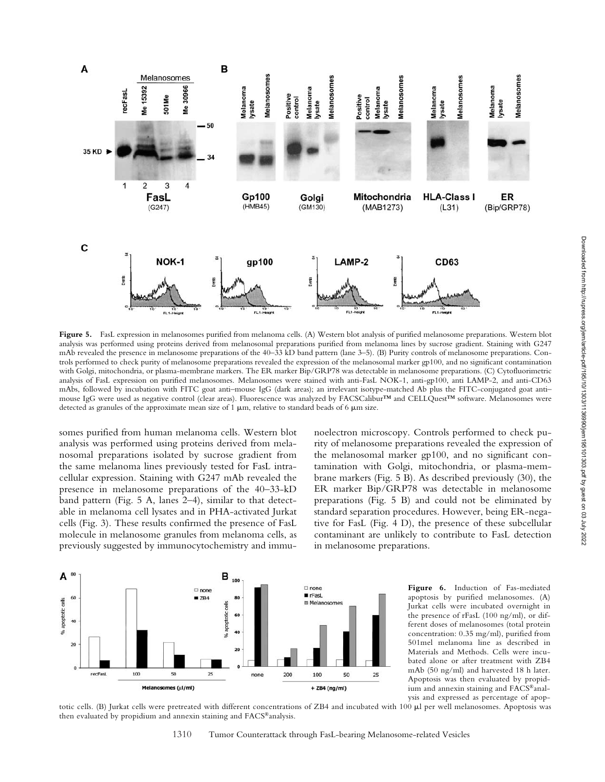

Figure 5. FasL expression in melanosomes purified from melanoma cells. (A) Western blot analysis of purified melanosome preparations. Western blot analysis was performed using proteins derived from melanosomal preparations purified from melanoma lines by sucrose gradient. Staining with G247 mAb revealed the presence in melanosome preparations of the 40–33 kD band pattern (lane 3–5). (B) Purity controls of melanosome preparations. Controls performed to check purity of melanosome preparations revealed the expression of the melanosomal marker gp100, and no significant contamination with Golgi, mitochondria, or plasma-membrane markers. The ER marker Bip/GRP78 was detectable in melanosome preparations. (C) Cytofluorimetric analysis of FasL expression on purified melanosomes. Melanosomes were stained with anti-FasL NOK-1, anti-gp100, anti LAMP-2, and anti-CD63 mAbs, followed by incubation with FITC goat anti–mouse IgG (dark areas); an irrelevant isotype-matched Ab plus the FITC-conjugated goat anti– mouse IgG were used as negative control (clear areas). Fluorescence was analyzed by FACSCalibur™ and CELLQuest™ software. Melanosomes were detected as granules of the approximate mean size of 1  $\mu$ m, relative to standard beads of 6  $\mu$ m size.

somes purified from human melanoma cells. Western blot analysis was performed using proteins derived from melanosomal preparations isolated by sucrose gradient from the same melanoma lines previously tested for FasL intracellular expression. Staining with G247 mAb revealed the presence in melanosome preparations of the 40–33-kD band pattern (Fig. 5 A, lanes 2–4), similar to that detectable in melanoma cell lysates and in PHA-activated Jurkat cells (Fig. 3). These results confirmed the presence of FasL molecule in melanosome granules from melanoma cells, as previously suggested by immunocytochemistry and immunoelectron microscopy. Controls performed to check purity of melanosome preparations revealed the expression of the melanosomal marker gp100, and no significant contamination with Golgi, mitochondria, or plasma-membrane markers (Fig. 5 B). As described previously (30), the ER marker Bip/GRP78 was detectable in melanosome preparations (Fig. 5 B) and could not be eliminated by standard separation procedures. However, being ER-negative for FasL (Fig. 4 D), the presence of these subcellular contaminant are unlikely to contribute to FasL detection in melanosome preparations.



Figure 6. Induction of Fas-mediated apoptosis by purified melanosomes. (A) Jurkat cells were incubated overnight in the presence of rFasL (100 ng/ml), or different doses of melanosomes (total protein concentration: 0.35 mg/ml), purified from 501mel melanoma line as described in Materials and Methods. Cells were incubated alone or after treatment with ZB4 mAb (50 ng/ml) and harvested 18 h later. Apoptosis was then evaluated by propidium and annexin staining and FACS®analysis and expressed as percentage of apop-

totic cells. (B) Jurkat cells were pretreated with different concentrations of ZB4 and incubated with 100 µl per well melanosomes. Apoptosis was then evaluated by propidium and annexin staining and FACS®analysis.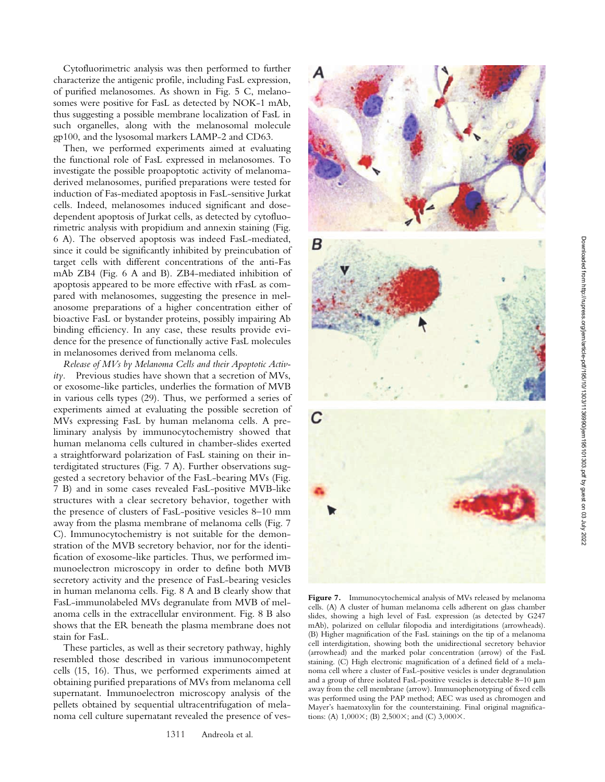Cytofluorimetric analysis was then performed to further characterize the antigenic profile, including FasL expression, of purified melanosomes. As shown in Fig. 5 C, melanosomes were positive for FasL as detected by NOK-1 mAb, thus suggesting a possible membrane localization of FasL in such organelles, along with the melanosomal molecule gp100, and the lysosomal markers LAMP-2 and CD63.

Then, we performed experiments aimed at evaluating the functional role of FasL expressed in melanosomes. To investigate the possible proapoptotic activity of melanomaderived melanosomes, purified preparations were tested for induction of Fas-mediated apoptosis in FasL-sensitive Jurkat cells. Indeed, melanosomes induced significant and dosedependent apoptosis of Jurkat cells, as detected by cytofluorimetric analysis with propidium and annexin staining (Fig. 6 A). The observed apoptosis was indeed FasL-mediated, since it could be significantly inhibited by preincubation of target cells with different concentrations of the anti-Fas mAb ZB4 (Fig. 6 A and B). ZB4-mediated inhibition of apoptosis appeared to be more effective with rFasL as compared with melanosomes, suggesting the presence in melanosome preparations of a higher concentration either of bioactive FasL or bystander proteins, possibly impairing Ab binding efficiency. In any case, these results provide evidence for the presence of functionally active FasL molecules in melanosomes derived from melanoma cells.

*Release of MVs by Melanoma Cells and their Apoptotic Activity.* Previous studies have shown that a secretion of MVs, or exosome-like particles, underlies the formation of MVB in various cells types (29). Thus, we performed a series of experiments aimed at evaluating the possible secretion of MVs expressing FasL by human melanoma cells. A preliminary analysis by immunocytochemistry showed that human melanoma cells cultured in chamber-slides exerted a straightforward polarization of FasL staining on their interdigitated structures (Fig. 7 A). Further observations suggested a secretory behavior of the FasL-bearing MVs (Fig. 7 B) and in some cases revealed FasL-positive MVB-like structures with a clear secretory behavior, together with the presence of clusters of FasL-positive vesicles 8–10 mm away from the plasma membrane of melanoma cells (Fig. 7 C). Immunocytochemistry is not suitable for the demonstration of the MVB secretory behavior, nor for the identification of exosome-like particles. Thus, we performed immunoelectron microscopy in order to define both MVB secretory activity and the presence of FasL-bearing vesicles in human melanoma cells. Fig. 8 A and B clearly show that FasL-immunolabeled MVs degranulate from MVB of melanoma cells in the extracellular environment. Fig. 8 B also shows that the ER beneath the plasma membrane does not stain for FasL.

These particles, as well as their secretory pathway, highly resembled those described in various immunocompetent cells (15, 16). Thus, we performed experiments aimed at obtaining purified preparations of MVs from melanoma cell supernatant. Immunoelectron microscopy analysis of the pellets obtained by sequential ultracentrifugation of melanoma cell culture supernatant revealed the presence of ves-



Figure 7. Immunocytochemical analysis of MVs released by melanoma cells. (A) A cluster of human melanoma cells adherent on glass chamber slides, showing a high level of FasL expression (as detected by G247 mAb), polarized on cellular filopodia and interdigitations (arrowheads). (B) Higher magnification of the FasL stainings on the tip of a melanoma cell interdigitation, showing both the unidirectional secretory behavior (arrowhead) and the marked polar concentration (arrow) of the FasL staining. (C) High electronic magnification of a defined field of a melanoma cell where a cluster of FasL-positive vesicles is under degranulation and a group of three isolated FasL-positive vesicles is detectable  $8-10 \mu m$ away from the cell membrane (arrow). Immunophenotyping of fixed cells was performed using the PAP method; AEC was used as chromogen and Mayer's haematoxylin for the counterstaining. Final original magnifications: (A)  $1,000 \times$ ; (B)  $2,500 \times$ ; and (C)  $3,000 \times$ .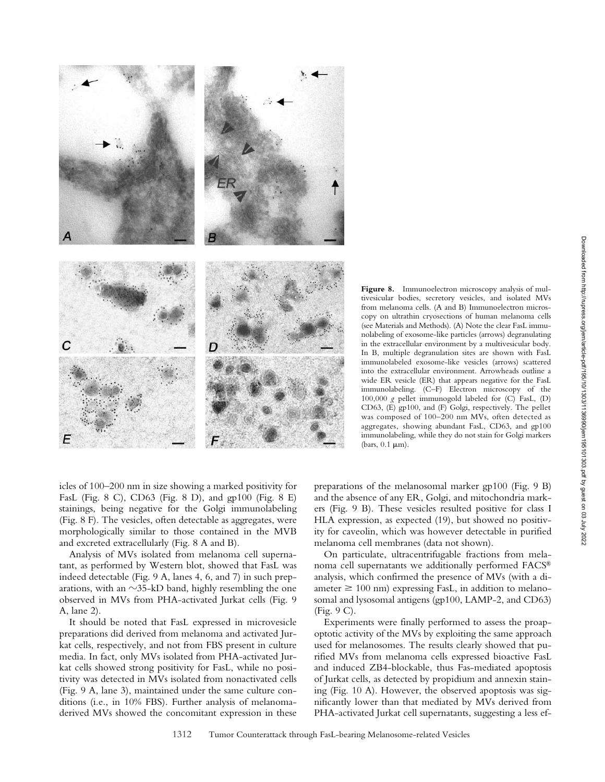

**Figure 8.** Immunoelectron microscopy analysis of multivesicular bodies, secretory vesicles, and isolated MVs from melanoma cells. (A and B) Immunoelectron microscopy on ultrathin cryosections of human melanoma cells (see Materials and Methods). (A) Note the clear FasL immunolabeling of exosome-like particles (arrows) degranulating in the extracellular environment by a multivesicular body. In B, multiple degranulation sites are shown with FasL immunolabeled exosome-like vesicles (arrows) scattered into the extracellular environment. Arrowheads outline a wide ER vesicle (ER) that appears negative for the FasL immunolabeling. (C–F) Electron microscopy of the 100,000 *g* pellet immunogold labeled for (C) FasL, (D) CD63, (E) gp100, and (F) Golgi, respectively. The pellet was composed of 100–200 nm MVs, often detected as aggregates, showing abundant FasL, CD63, and gp100 immunolabeling, while they do not stain for Golgi markers (bars,  $0.1 \mu m$ ).

icles of 100–200 nm in size showing a marked positivity for FasL (Fig. 8 C), CD63 (Fig. 8 D), and gp100 (Fig. 8 E) stainings, being negative for the Golgi immunolabeling (Fig. 8 F). The vesicles, often detectable as aggregates, were morphologically similar to those contained in the MVB and excreted extracellularly (Fig. 8 A and B).

Analysis of MVs isolated from melanoma cell supernatant, as performed by Western blot, showed that FasL was indeed detectable (Fig. 9 A, lanes 4, 6, and 7) in such preparations, with an  $\sim$ 35-kD band, highly resembling the one observed in MVs from PHA-activated Jurkat cells (Fig. 9 A, lane 2).

It should be noted that FasL expressed in microvesicle preparations did derived from melanoma and activated Jurkat cells, respectively, and not from FBS present in culture media. In fact, only MVs isolated from PHA-activated Jurkat cells showed strong positivity for FasL, while no positivity was detected in MVs isolated from nonactivated cells (Fig. 9 A, lane 3), maintained under the same culture conditions (i.e., in 10% FBS). Further analysis of melanomaderived MVs showed the concomitant expression in these preparations of the melanosomal marker gp100 (Fig. 9 B) and the absence of any ER, Golgi, and mitochondria markers (Fig. 9 B). These vesicles resulted positive for class I HLA expression, as expected (19), but showed no positivity for caveolin, which was however detectable in purified melanoma cell membranes (data not shown).

On particulate, ultracentrifugable fractions from melanoma cell supernatants we additionally performed FACS® analysis, which confirmed the presence of MVs (with a diameter  $\geq 100$  nm) expressing FasL, in addition to melanosomal and lysosomal antigens (gp100, LAMP-2, and CD63) (Fig. 9 C).

Experiments were finally performed to assess the proapoptotic activity of the MVs by exploiting the same approach used for melanosomes. The results clearly showed that purified MVs from melanoma cells expressed bioactive FasL and induced ZB4-blockable, thus Fas-mediated apoptosis of Jurkat cells, as detected by propidium and annexin staining (Fig. 10 A). However, the observed apoptosis was significantly lower than that mediated by MVs derived from PHA-activated Jurkat cell supernatants, suggesting a less ef-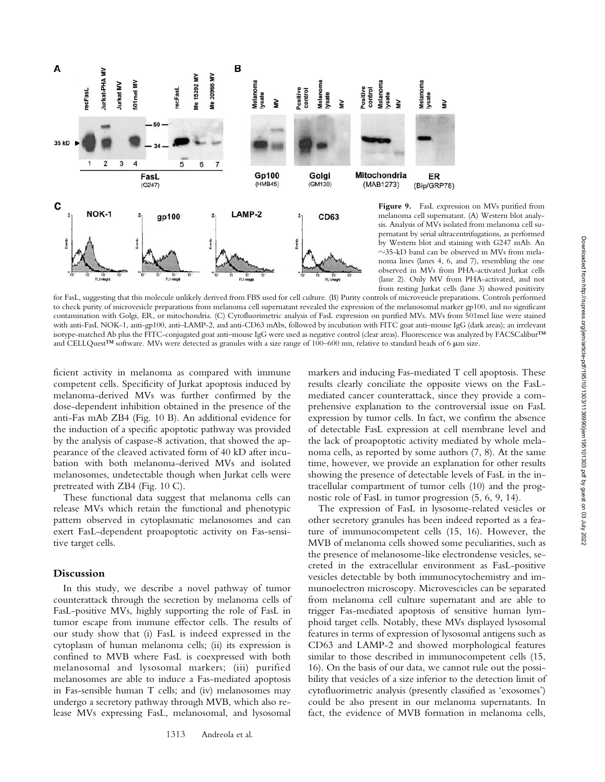

pernatant by serial ultracentrifugations, as performed by Western blot and staining with G247 mAb. An  $\sim$ 35-kD band can be observed in MVs from melanoma lines (lanes 4, 6, and 7), resembling the one observed in MVs from PHA-activated Jurkat cells (lane 2). Only MV from PHA-activated, and not from resting Jurkat cells (lane 3) showed positivity

for FasL, suggesting that this molecule unlikely derived from FBS used for cell culture. (B) Purity controls of microvesicle preparations. Controls performed to check purity of microvesicle preparations from melanoma cell supernatant revealed the expression of the melanosomal marker gp100, and no significant contamination with Golgi, ER, or mitochondria. (C) Cytofluorimetric analysis of FasL expression on purified MVs. MVs from 501mel line were stained with anti-FasL NOK-1, anti-gp100, anti–LAMP-2, and anti-CD63 mAbs, followed by incubation with FITC goat anti–mouse IgG (dark areas); an irrelevant isotype-matched Ab plus the FITC-conjugated goat anti-mouse IgG were used as negative control (clear areas). Fluorescence was analyzed by FACSCalibur™ and CELLQuest™ software. MVs were detected as granules with a size range of 100–600 nm, relative to standard beads of 6  $\mu$ m size.

ficient activity in melanoma as compared with immune competent cells. Specificity of Jurkat apoptosis induced by melanoma-derived MVs was further confirmed by the dose-dependent inhibition obtained in the presence of the anti-Fas mAb ZB4 (Fig. 10 B). An additional evidence for the induction of a specific apoptotic pathway was provided by the analysis of caspase-8 activation, that showed the appearance of the cleaved activated form of 40 kD after incubation with both melanoma-derived MVs and isolated melanosomes, undetectable though when Jurkat cells were pretreated with ZB4 (Fig. 10 C).

These functional data suggest that melanoma cells can release MVs which retain the functional and phenotypic pattern observed in cytoplasmatic melanosomes and can exert FasL-dependent proapoptotic activity on Fas-sensitive target cells.

#### **Discussion**

In this study, we describe a novel pathway of tumor counterattack through the secretion by melanoma cells of FasL-positive MVs, highly supporting the role of FasL in tumor escape from immune effector cells. The results of our study show that (i) FasL is indeed expressed in the cytoplasm of human melanoma cells; (ii) its expression is confined to MVB where FasL is coexpressed with both melanosomal and lysosomal markers; (iii) purified melanosomes are able to induce a Fas-mediated apoptosis in Fas-sensible human T cells; and (iv) melanosomes may undergo a secretory pathway through MVB, which also release MVs expressing FasL, melanosomal, and lysosomal

markers and inducing Fas-mediated T cell apoptosis. These results clearly conciliate the opposite views on the FasLmediated cancer counterattack, since they provide a comprehensive explanation to the controversial issue on FasL expression by tumor cells. In fact, we confirm the absence of detectable FasL expression at cell membrane level and the lack of proapoptotic activity mediated by whole melanoma cells, as reported by some authors (7, 8). At the same time, however, we provide an explanation for other results showing the presence of detectable levels of FasL in the intracellular compartment of tumor cells (10) and the prognostic role of FasL in tumor progression (5, 6, 9, 14).

The expression of FasL in lysosome-related vesicles or other secretory granules has been indeed reported as a feature of immunocompetent cells (15, 16). However, the MVB of melanoma cells showed some peculiarities, such as the presence of melanosome-like electrondense vesicles, secreted in the extracellular environment as FasL-positive vesicles detectable by both immunocytochemistry and immunoelectron microscopy. Microvescicles can be separated from melanoma cell culture supernatant and are able to trigger Fas-mediated apoptosis of sensitive human lymphoid target cells. Notably, these MVs displayed lysosomal features in terms of expression of lysosomal antigens such as CD63 and LAMP-2 and showed morphological features similar to those described in immunocompetent cells (15, 16). On the basis of our data, we cannot rule out the possibility that vesicles of a size inferior to the detection limit of cytofluorimetric analysis (presently classified as 'exosomes') could be also present in our melanoma supernatants. In fact, the evidence of MVB formation in melanoma cells,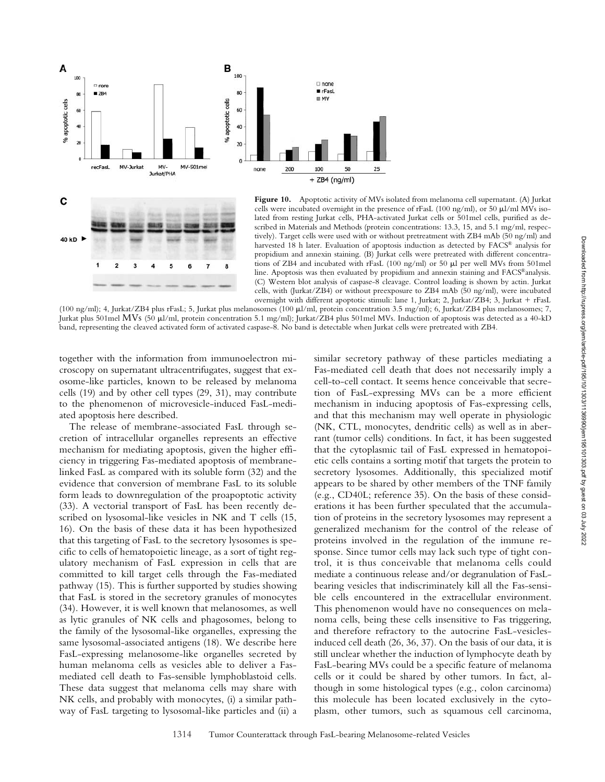

**Figure 10.** Apoptotic activity of MVs isolated from melanoma cell supernatant. (A) Jurkat cells were incubated overnight in the presence of rFasL (100 ng/ml), or 50  $\mu$ l/ml MVs isolated from resting Jurkat cells, PHA-activated Jurkat cells or 501mel cells, purified as described in Materials and Methods (protein concentrations: 13.3, 15, and 5.1 mg/ml, respectively). Target cells were used with or without pretreatment with ZB4 mAb (50 ng/ml) and harvested 18 h later. Evaluation of apoptosis induction as detected by FACS® analysis for propidium and annexin staining. (B) Jurkat cells were pretreated with different concentrations of ZB4 and incubated with  $rFasL$  (100 ng/ml) or 50  $\mu$ l per well MVs from 501mel line. Apoptosis was then evaluated by propidium and annexin staining and FACS®analysis. (C) Western blot analysis of caspase-8 cleavage. Control loading is shown by actin. Jurkat cells, with (Jurkat/ZB4) or without preexposure to ZB4 mAb (50 ng/ml), were incubated overnight with different apoptotic stimuli: lane 1, Jurkat; 2, Jurkat/ZB4; 3, Jurkat + rFasL

(100 ng/ml); 4, Jurkat/ZB4 plus rFasL; 5, Jurkat plus melanosomes (100 µl/ml, protein concentration 3.5 mg/ml); 6, Jurkat/ZB4 plus melanosomes; 7, Jurkat plus 501mel MVs (50 µl/ml, protein concentration 5.1 mg/ml); Jurkat/ZB4 plus 501mel MVs. Induction of apoptosis was detected as a 40-kD band, representing the cleaved activated form of activated caspase-8. No band is detectable when Jurkat cells were pretreated with ZB4.

together with the information from immunoelectron microscopy on supernatant ultracentrifugates, suggest that exosome-like particles, known to be released by melanoma cells (19) and by other cell types (29, 31), may contribute to the phenomenon of microvesicle-induced FasL-mediated apoptosis here described.

5 6  $\overline{7}$ 

The release of membrane-associated FasL through secretion of intracellular organelles represents an effective mechanism for mediating apoptosis, given the higher efficiency in triggering Fas-mediated apoptosis of membranelinked FasL as compared with its soluble form (32) and the evidence that conversion of membrane FasL to its soluble form leads to downregulation of the proapoptotic activity (33). A vectorial transport of FasL has been recently described on lysosomal-like vesicles in NK and T cells (15, 16). On the basis of these data it has been hypothesized that this targeting of FasL to the secretory lysosomes is specific to cells of hematopoietic lineage, as a sort of tight regulatory mechanism of FasL expression in cells that are committed to kill target cells through the Fas-mediated pathway (15). This is further supported by studies showing that FasL is stored in the secretory granules of monocytes (34). However, it is well known that melanosomes, as well as lytic granules of NK cells and phagosomes, belong to the family of the lysosomal-like organelles, expressing the same lysosomal-associated antigens (18). We describe here FasL-expressing melanosome-like organelles secreted by human melanoma cells as vesicles able to deliver a Fasmediated cell death to Fas-sensible lymphoblastoid cells. These data suggest that melanoma cells may share with NK cells, and probably with monocytes, (i) a similar pathway of FasL targeting to lysosomal-like particles and (ii) a

similar secretory pathway of these particles mediating a Fas-mediated cell death that does not necessarily imply a cell-to-cell contact. It seems hence conceivable that secretion of FasL-expressing MVs can be a more efficient mechanism in inducing apoptosis of Fas-expressing cells, and that this mechanism may well operate in physiologic (NK, CTL, monocytes, dendritic cells) as well as in aberrant (tumor cells) conditions. In fact, it has been suggested that the cytoplasmic tail of FasL expressed in hematopoietic cells contains a sorting motif that targets the protein to secretory lysosomes. Additionally, this specialized motif appears to be shared by other members of the TNF family (e.g., CD40L; reference 35). On the basis of these considerations it has been further speculated that the accumulation of proteins in the secretory lysosomes may represent a generalized mechanism for the control of the release of proteins involved in the regulation of the immune response. Since tumor cells may lack such type of tight control, it is thus conceivable that melanoma cells could mediate a continuous release and/or degranulation of FasLbearing vesicles that indiscriminately kill all the Fas-sensible cells encountered in the extracellular environment. This phenomenon would have no consequences on melanoma cells, being these cells insensitive to Fas triggering, and therefore refractory to the autocrine FasL-vesiclesinduced cell death (26, 36, 37). On the basis of our data, it is still unclear whether the induction of lymphocyte death by FasL-bearing MVs could be a specific feature of melanoma cells or it could be shared by other tumors. In fact, although in some histological types (e.g., colon carcinoma) this molecule has been located exclusively in the cytoplasm, other tumors, such as squamous cell carcinoma,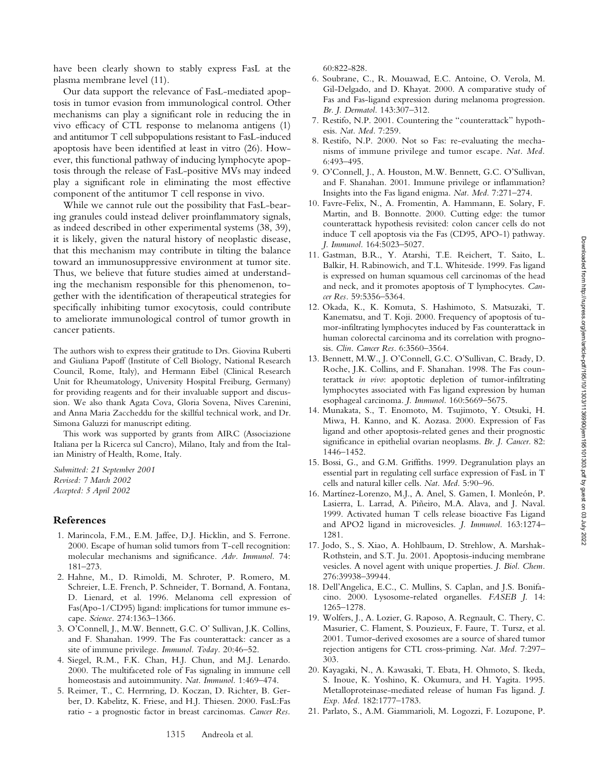have been clearly shown to stably express FasL at the plasma membrane level (11).

Our data support the relevance of FasL-mediated apoptosis in tumor evasion from immunological control. Other mechanisms can play a significant role in reducing the in vivo efficacy of CTL response to melanoma antigens (1) and antitumor T cell subpopulations resistant to FasL-induced apoptosis have been identified at least in vitro (26). However, this functional pathway of inducing lymphocyte apoptosis through the release of FasL-positive MVs may indeed play a significant role in eliminating the most effective component of the antitumor T cell response in vivo.

While we cannot rule out the possibility that FasL-bearing granules could instead deliver proinflammatory signals, as indeed described in other experimental systems (38, 39), it is likely, given the natural history of neoplastic disease, that this mechanism may contribute in tilting the balance toward an immunosuppressive environment at tumor site. Thus, we believe that future studies aimed at understanding the mechanism responsible for this phenomenon, together with the identification of therapeutical strategies for specifically inhibiting tumor exocytosis, could contribute to ameliorate immunological control of tumor growth in cancer patients.

The authors wish to express their gratitude to Drs. Giovina Ruberti and Giuliana Papoff (Institute of Cell Biology, National Research Council, Rome, Italy), and Hermann Eibel (Clinical Research Unit for Rheumatology, University Hospital Freiburg, Germany) for providing reagents and for their invaluable support and discussion. We also thank Agata Cova, Gloria Sovena, Nives Carenini, and Anna Maria Zaccheddu for the skillful technical work, and Dr. Simona Galuzzi for manuscript editing.

This work was supported by grants from AIRC (Associazione Italiana per la Ricerca sul Cancro), Milano, Italy and from the Italian Ministry of Health, Rome, Italy.

*Submitted: 21 September 2001 Revised: 7 March 2002 Accepted: 5 April 2002*

# **References**

- 1. Marincola, F.M., E.M. Jaffee, D.J. Hicklin, and S. Ferrone. 2000. Escape of human solid tumors from T-cell recognition: molecular mechanisms and significance. *Adv. Immunol.* 74: 181–273.
- 2. Hahne, M., D. Rimoldi, M. Schroter, P. Romero, M. Schreier, L.E. French, P. Schneider, T. Bornand, A. Fontana, D. Lienard, et al. 1996. Melanoma cell expression of Fas(Apo-1/CD95) ligand: implications for tumor immune escape. *Science.* 274:1363–1366.
- 3. O'Connell, J., M.W. Bennett, G.C. O' Sullivan, J.K. Collins, and F. Shanahan. 1999. The Fas counterattack: cancer as a site of immune privilege*. Immunol. Today.* 20:46–52.
- 4. Siegel, R.M., F.K. Chan, H.J. Chun, and M.J. Lenardo. 2000. The multifaceted role of Fas signaling in immune cell homeostasis and autoimmunity. *Nat. Immunol.* 1:469–474.
- 5. Reimer, T., C. Herrnring, D. Koczan, D. Richter, B. Gerber, D. Kabelitz, K. Friese, and H.J. Thiesen. 2000. FasL:Fas ratio - a prognostic factor in breast carcinomas. *Cancer Res.*

60:822-828.

- 6. Soubrane, C., R. Mouawad, E.C. Antoine, O. Verola, M. Gil-Delgado, and D. Khayat. 2000. A comparative study of Fas and Fas-ligand expression during melanoma progression. *Br. J. Dermatol.* 143:307–312.
- 7. Restifo, N.P. 2001. Countering the "counterattack" hypothesis. *Nat. Med.* 7:259.
- 8. Restifo, N.P. 2000. Not so Fas: re-evaluating the mechanisms of immune privilege and tumor escape. *Nat. Med.* 6:493–495.
- 9. O'Connell, J., A. Houston, M.W. Bennett, G.C. O'Sullivan, and F. Shanahan. 2001. Immune privilege or inflammation? Insights into the Fas ligand enigma. *Nat. Med.* 7:271–274.
- 10. Favre-Felix, N., A. Fromentin, A. Hammann, E. Solary, F. Martin, and B. Bonnotte. 2000. Cutting edge: the tumor counterattack hypothesis revisited: colon cancer cells do not induce T cell apoptosis via the Fas (CD95, APO-1) pathway. *J. Immunol.* 164:5023–5027.
- 11. Gastman, B.R., Y. Atarshi, T.E. Reichert, T. Saito, L. Balkir, H. Rabinowich, and T.L. Whiteside. 1999. Fas ligand is expressed on human squamous cell carcinomas of the head and neck, and it promotes apoptosis of T lymphocytes. *Cancer Res.* 59:5356–5364.
- 12. Okada, K., K. Komuta, S. Hashimoto, S. Matsuzaki, T. Kanematsu, and T. Koji. 2000. Frequency of apoptosis of tumor-infiltrating lymphocytes induced by Fas counterattack in human colorectal carcinoma and its correlation with prognosis. *Clin. Cancer Res.* 6:3560–3564.
- 13. Bennett, M.W., J. O'Connell, G.C. O'Sullivan, C. Brady, D. Roche, J.K. Collins, and F. Shanahan. 1998. The Fas counterattack *in vivo*: apoptotic depletion of tumor-infiltrating lymphocytes associated with Fas ligand expression by human esophageal carcinoma. *J. Immunol.* 160:5669–5675.
- 14. Munakata, S., T. Enomoto, M. Tsujimoto, Y. Otsuki, H. Miwa, H. Kanno, and K. Aozasa. 2000. Expression of Fas ligand and other apoptosis-related genes and their prognostic significance in epithelial ovarian neoplasms. *Br. J. Cancer.* 82: 1446–1452.
- 15. Bossi, G., and G.M. Griffiths. 1999. Degranulation plays an essential part in regulating cell surface expression of FasL in T cells and natural killer cells. *Nat. Med.* 5:90–96.
- 16. Martínez-Lorenzo, M.J., A. Anel, S. Gamen, I. Monleón, P. Lasierra, L. Larrad, A. Piñeiro, M.A. Alava, and J. Naval. 1999. Activated human T cells release bioactive Fas Ligand and APO2 ligand in microvesicles. *J. Immunol.* 163:1274– 1281.
- 17. Jodo, S., S. Xiao, A. Hohlbaum, D. Strehlow, A. Marshak-Rothstein, and S.T. Ju. 2001. Apoptosis-inducing membrane vesicles. A novel agent with unique properties. *J. Biol. Chem.* 276:39938–39944.
- 18. Dell'Angelica, E.C., C. Mullins, S. Caplan, and J.S. Bonifacino. 2000. Lysosome-related organelles. *FASEB J*. 14: 1265–1278.
- 19. Wolfers, J., A. Lozier, G. Raposo, A. Regnault, C. Thery, C. Masurier, C. Flament, S. Pouzieux, F. Faure, T. Tursz, et al. 2001. Tumor-derived exosomes are a source of shared tumor rejection antigens for CTL cross-priming. *Nat. Med.* 7:297– 303.
- 20. Kayagaki, N., A. Kawasaki, T. Ebata, H. Ohmoto, S. Ikeda, S. Inoue, K. Yoshino, K. Okumura, and H. Yagita. 1995. Metalloproteinase-mediated release of human Fas ligand. *J. Exp. Med.* 182:1777–1783.
- 21. Parlato, S., A.M. Giammarioli, M. Logozzi, F. Lozupone, P.